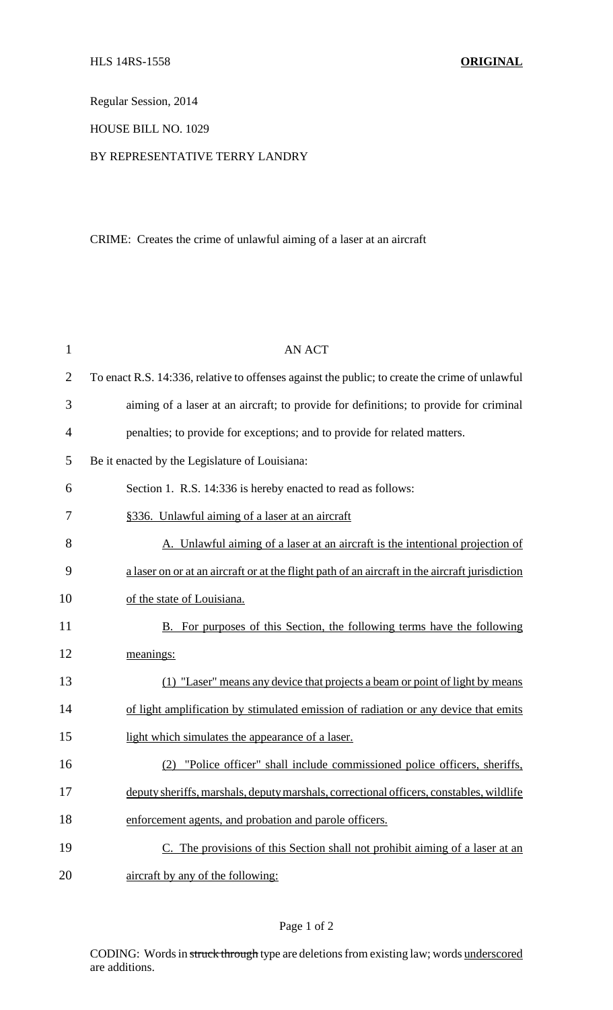Regular Session, 2014

HOUSE BILL NO. 1029

## BY REPRESENTATIVE TERRY LANDRY

## CRIME: Creates the crime of unlawful aiming of a laser at an aircraft

| $\mathbf{1}$   | <b>AN ACT</b>                                                                                  |
|----------------|------------------------------------------------------------------------------------------------|
| $\overline{2}$ | To enact R.S. 14:336, relative to offenses against the public; to create the crime of unlawful |
| 3              | aiming of a laser at an aircraft; to provide for definitions; to provide for criminal          |
| $\overline{4}$ | penalties; to provide for exceptions; and to provide for related matters.                      |
| 5              | Be it enacted by the Legislature of Louisiana:                                                 |
| 6              | Section 1. R.S. 14:336 is hereby enacted to read as follows:                                   |
| 7              | §336. Unlawful aiming of a laser at an aircraft                                                |
| 8              | A. Unlawful aiming of a laser at an aircraft is the intentional projection of                  |
| 9              | a laser on or at an aircraft or at the flight path of an aircraft in the aircraft jurisdiction |
| 10             | of the state of Louisiana.                                                                     |
| 11             | B. For purposes of this Section, the following terms have the following                        |
| 12             | meanings:                                                                                      |
| 13             | (1) "Laser" means any device that projects a beam or point of light by means                   |
| 14             | of light amplification by stimulated emission of radiation or any device that emits            |
| 15             | light which simulates the appearance of a laser.                                               |
| 16             | "Police officer" shall include commissioned police officers, sheriffs,                         |
| 17             | deputy sheriffs, marshals, deputy marshals, correctional officers, constables, wildlife        |
| 18             | enforcement agents, and probation and parole officers.                                         |
| 19             | C. The provisions of this Section shall not prohibit aiming of a laser at an                   |
| 20             | aircraft by any of the following:                                                              |

CODING: Words in struck through type are deletions from existing law; words underscored are additions.